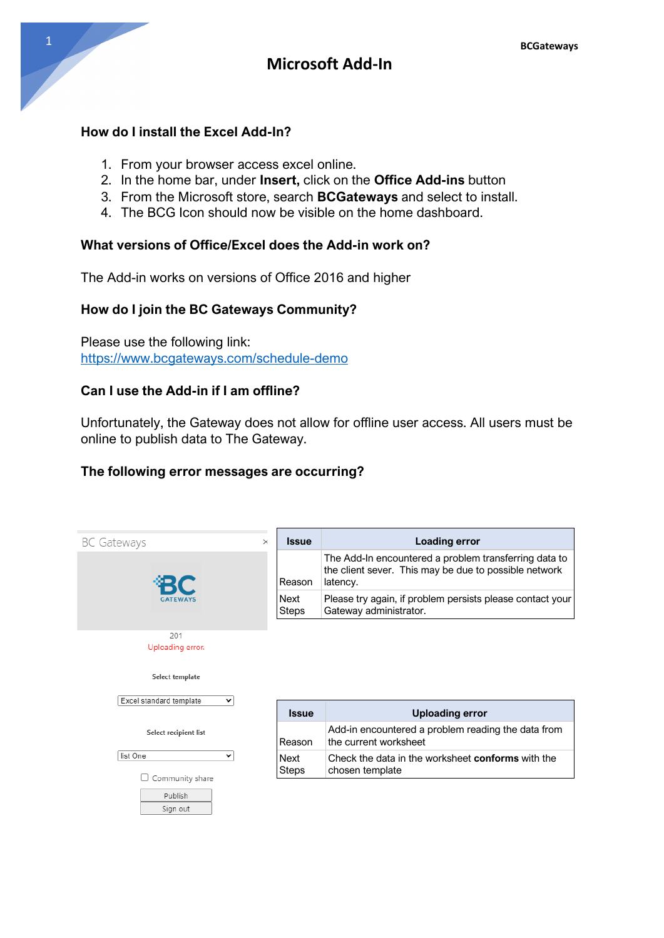#### **How do I install the Excel Add-In?**

- 1. From your browser access excel online.
- 2. In the home bar, under **Insert,** click on the **Office Add-ins** button
- 3. From the Microsoft store, search **BCGateways** and select to install.
- 4. The BCG Icon should now be visible on the home dashboard.

### **What versions of Office/Excel does the Add-in work on?**

The Add-in works on versions of Office 2016 and higher

#### **How do I join the BC Gateways Community?**

Please use the following link: https://www.bcgateways.com/schedule-demo

#### **Can I use the Add-in if I am offline?**

Unfortunately, the Gateway does not allow for offline user access. All users must be online to publish data to The Gateway.

#### **The following error messages are occurring?**

| <b>BC Gateways</b>                      | <b>Issue</b><br>$\times$ | Loading error                                                                                                              |
|-----------------------------------------|--------------------------|----------------------------------------------------------------------------------------------------------------------------|
|                                         | Reason                   | The Add-In encountered a problem transferring data to<br>the client sever. This may be due to possible network<br>latency. |
|                                         | Next<br><b>Steps</b>     | Please try again, if problem persists please contact your<br>Gateway administrator.                                        |
| 201<br>Uploading error.                 |                          |                                                                                                                            |
|                                         |                          |                                                                                                                            |
| Select template                         |                          |                                                                                                                            |
| Excel standard template<br>$\checkmark$ | <b>Issue</b>             | <b>Uploading error</b>                                                                                                     |
| Select recipient list                   | Reason                   | Add-in encountered a problem reading the data from<br>the current worksheet                                                |
| list One<br>v<br>Community share        | Next<br><b>Steps</b>     | Check the data in the worksheet <b>conforms</b> with the<br>chosen template                                                |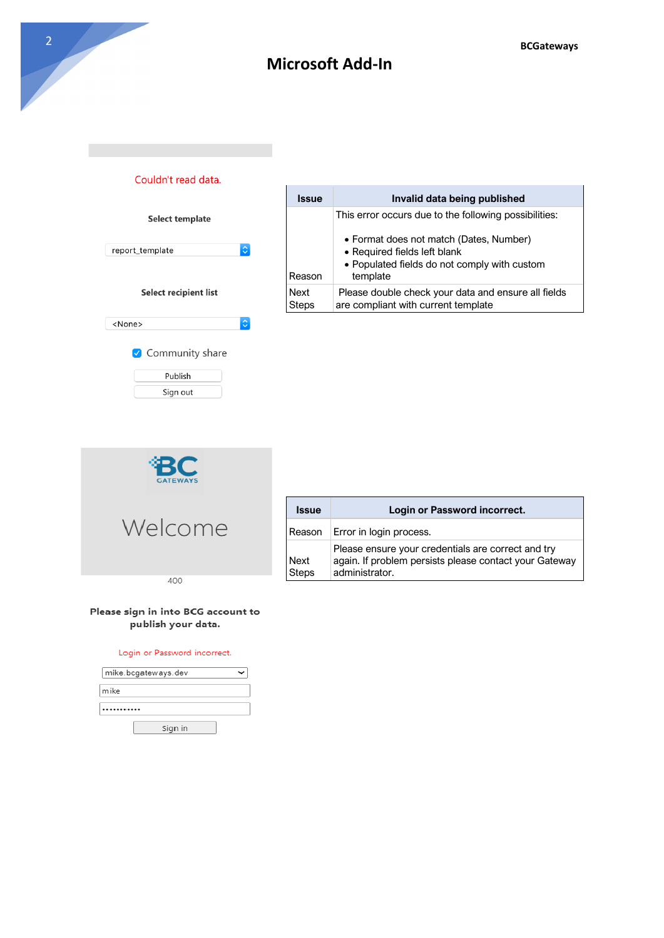

| <b>Issue</b>                | Invalid data being published                                                                                                        |
|-----------------------------|-------------------------------------------------------------------------------------------------------------------------------------|
|                             | This error occurs due to the following possibilities:                                                                               |
| Reason                      | • Format does not match (Dates, Number)<br>• Required fields left blank<br>• Populated fields do not comply with custom<br>template |
| <b>Next</b><br><b>Steps</b> | Please double check your data and ensure all fields<br>are compliant with current template                                          |
|                             |                                                                                                                                     |



| <b>Issue</b>         | Login or Password incorrect.                                                                                                   |
|----------------------|--------------------------------------------------------------------------------------------------------------------------------|
| Reason               | Error in login process.                                                                                                        |
| Next<br><b>Steps</b> | Please ensure your credentials are correct and try<br>again. If problem persists please contact your Gateway<br>administrator. |

#### Please sign in into BCG account to publish your data.

#### Login or Password incorrect.

| mike.bcgateways.dev |  |
|---------------------|--|
| mike                |  |
|                     |  |
| Sign in             |  |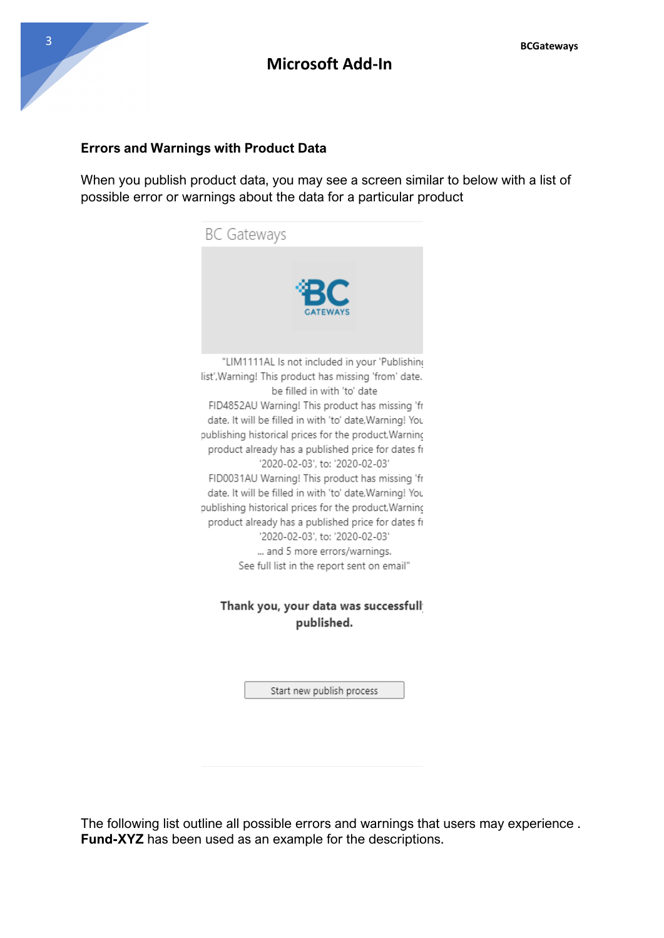### **Errors and Warnings with Product Data**

When you publish product data, you may see a screen similar to below with a list of possible error or warnings about the data for a particular product



Thank you, your data was successfull published.

Start new publish process

The following list outline all possible errors and warnings that users may experience . **Fund-XYZ** has been used as an example for the descriptions.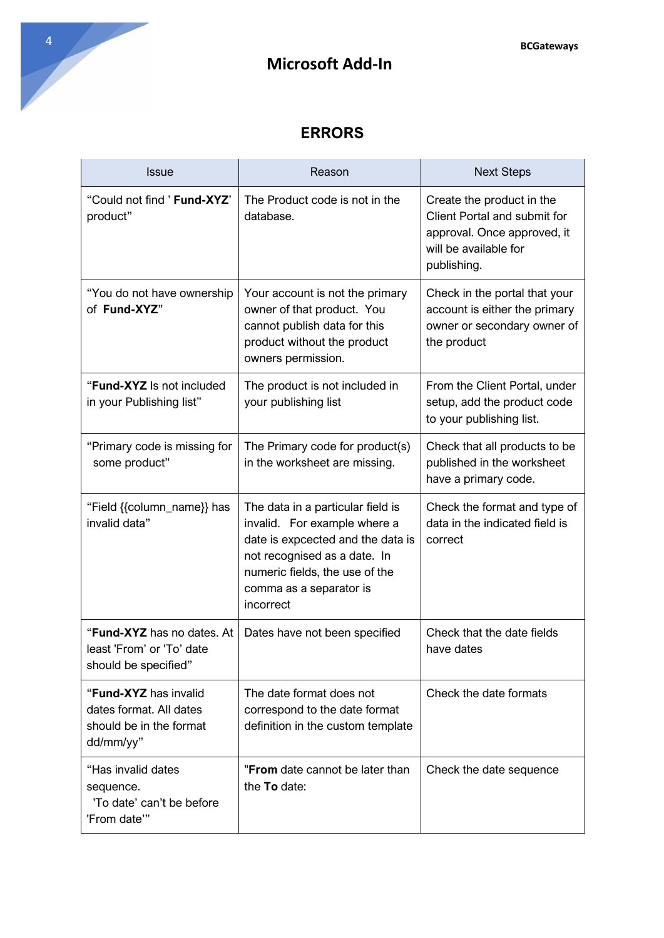

## **ERRORS**

| <b>Issue</b>                                                                             | Reason                                                                                                                                                                                                           | <b>Next Steps</b>                                                                                                                |
|------------------------------------------------------------------------------------------|------------------------------------------------------------------------------------------------------------------------------------------------------------------------------------------------------------------|----------------------------------------------------------------------------------------------------------------------------------|
| "Could not find ' Fund-XYZ"<br>product"                                                  | The Product code is not in the<br>database.                                                                                                                                                                      | Create the product in the<br>Client Portal and submit for<br>approval. Once approved, it<br>will be available for<br>publishing. |
| "You do not have ownership<br>of Fund-XYZ"                                               | Your account is not the primary<br>owner of that product. You<br>cannot publish data for this<br>product without the product<br>owners permission.                                                               | Check in the portal that your<br>account is either the primary<br>owner or secondary owner of<br>the product                     |
| "Fund-XYZ Is not included<br>in your Publishing list"                                    | The product is not included in<br>your publishing list                                                                                                                                                           | From the Client Portal, under<br>setup, add the product code<br>to your publishing list.                                         |
| "Primary code is missing for<br>some product"                                            | The Primary code for product(s)<br>in the worksheet are missing.                                                                                                                                                 | Check that all products to be<br>published in the worksheet<br>have a primary code.                                              |
| "Field {{column_name}} has<br>invalid data"                                              | The data in a particular field is<br>invalid. For example where a<br>date is expcected and the data is<br>not recognised as a date. In<br>numeric fields, the use of the<br>comma as a separator is<br>incorrect | Check the format and type of<br>data in the indicated field is<br>correct                                                        |
| "Fund-XYZ has no dates. At<br>least 'From' or 'To' date<br>should be specified"          | Dates have not been specified                                                                                                                                                                                    | Check that the date fields<br>have dates                                                                                         |
| "Fund-XYZ has invalid<br>dates format. All dates<br>should be in the format<br>dd/mm/yy" | The date format does not<br>correspond to the date format<br>definition in the custom template                                                                                                                   | Check the date formats                                                                                                           |
| "Has invalid dates<br>sequence.<br>'To date' can't be before<br>'From date'"             | "From date cannot be later than<br>the To date:                                                                                                                                                                  | Check the date sequence                                                                                                          |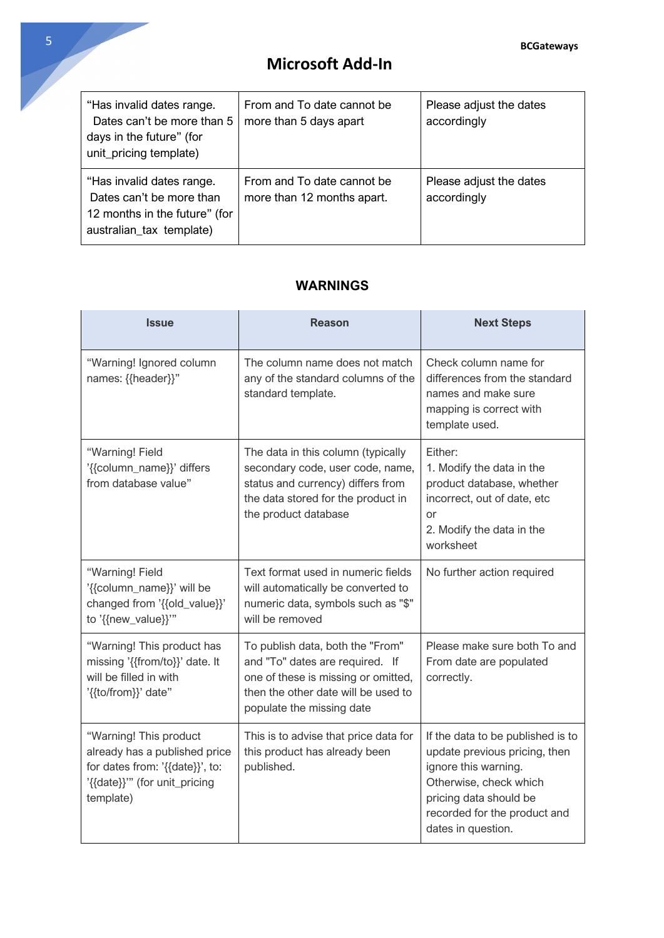| "Has invalid dates range.<br>Dates can't be more than 5<br>days in the future" (for<br>unit_pricing template)      | From and To date cannot be<br>more than 5 days apart     | Please adjust the dates<br>accordingly |
|--------------------------------------------------------------------------------------------------------------------|----------------------------------------------------------|----------------------------------------|
| "Has invalid dates range.<br>Dates can't be more than<br>12 months in the future" (for<br>australian_tax template) | From and To date cannot be<br>more than 12 months apart. | Please adjust the dates<br>accordingly |

#### **WARNINGS**

| <b>Issue</b>                                                                                                                             | <b>Reason</b>                                                                                                                                                                  | <b>Next Steps</b>                                                                                                                                                                                    |
|------------------------------------------------------------------------------------------------------------------------------------------|--------------------------------------------------------------------------------------------------------------------------------------------------------------------------------|------------------------------------------------------------------------------------------------------------------------------------------------------------------------------------------------------|
| "Warning! Ignored column<br>names: {{header}}"                                                                                           | The column name does not match<br>any of the standard columns of the<br>standard template.                                                                                     | Check column name for<br>differences from the standard<br>names and make sure<br>mapping is correct with<br>template used.                                                                           |
| "Warning! Field<br>'{{column_name}}' differs<br>from database value"                                                                     | The data in this column (typically<br>secondary code, user code, name,<br>status and currency) differs from<br>the data stored for the product in<br>the product database      | Either:<br>1. Modify the data in the<br>product database, whether<br>incorrect, out of date, etc<br><b>or</b><br>2. Modify the data in the<br>worksheet                                              |
| "Warning! Field<br>'{{column_name}}' will be<br>changed from '{{old_value}}'<br>to '{{new_value}}"                                       | Text format used in numeric fields<br>will automatically be converted to<br>numeric data, symbols such as "\$"<br>will be removed                                              | No further action required                                                                                                                                                                           |
| "Warning! This product has<br>missing '{{from/to}}' date. It<br>will be filled in with<br>'{{to/from}}' date"                            | To publish data, both the "From"<br>and "To" dates are required. If<br>one of these is missing or omitted,<br>then the other date will be used to<br>populate the missing date | Please make sure both To and<br>From date are populated<br>correctly.                                                                                                                                |
| "Warning! This product<br>already has a published price<br>for dates from: '{{date}}', to:<br>'{{date}}"" (for unit_pricing<br>template) | This is to advise that price data for<br>this product has already been<br>published.                                                                                           | If the data to be published is to<br>update previous pricing, then<br>ignore this warning.<br>Otherwise, check which<br>pricing data should be<br>recorded for the product and<br>dates in question. |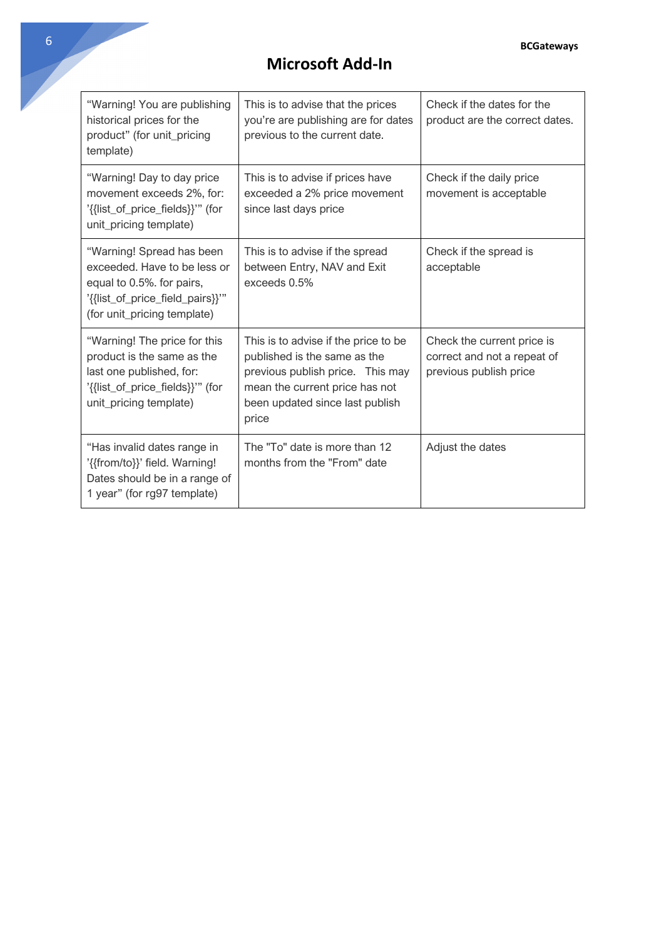| "Warning! You are publishing<br>historical prices for the<br>product" (for unit_pricing<br>template)                                                     | This is to advise that the prices<br>you're are publishing are for dates<br>previous to the current date.                                                                              | Check if the dates for the<br>product are the correct dates.                        |
|----------------------------------------------------------------------------------------------------------------------------------------------------------|----------------------------------------------------------------------------------------------------------------------------------------------------------------------------------------|-------------------------------------------------------------------------------------|
| "Warning! Day to day price<br>movement exceeds 2%, for:<br>'{{list_of_price_fields}}'" (for<br>unit_pricing template)                                    | This is to advise if prices have<br>exceeded a 2% price movement<br>since last days price                                                                                              | Check if the daily price<br>movement is acceptable                                  |
| "Warning! Spread has been<br>exceeded. Have to be less or<br>equal to 0.5%. for pairs,<br>'{{list_of_price_field_pairs}}"<br>(for unit_pricing template) | This is to advise if the spread<br>between Entry, NAV and Exit<br>exceeds 0.5%                                                                                                         | Check if the spread is<br>acceptable                                                |
| "Warning! The price for this<br>product is the same as the<br>last one published, for:<br>'{{list_of_price_fields}}'" (for<br>unit_pricing template)     | This is to advise if the price to be<br>published is the same as the<br>previous publish price. This may<br>mean the current price has not<br>been updated since last publish<br>price | Check the current price is<br>correct and not a repeat of<br>previous publish price |
| "Has invalid dates range in<br>'{{from/to}}' field. Warning!<br>Dates should be in a range of<br>1 year" (for rg97 template)                             | The "To" date is more than 12<br>months from the "From" date                                                                                                                           | Adjust the dates                                                                    |